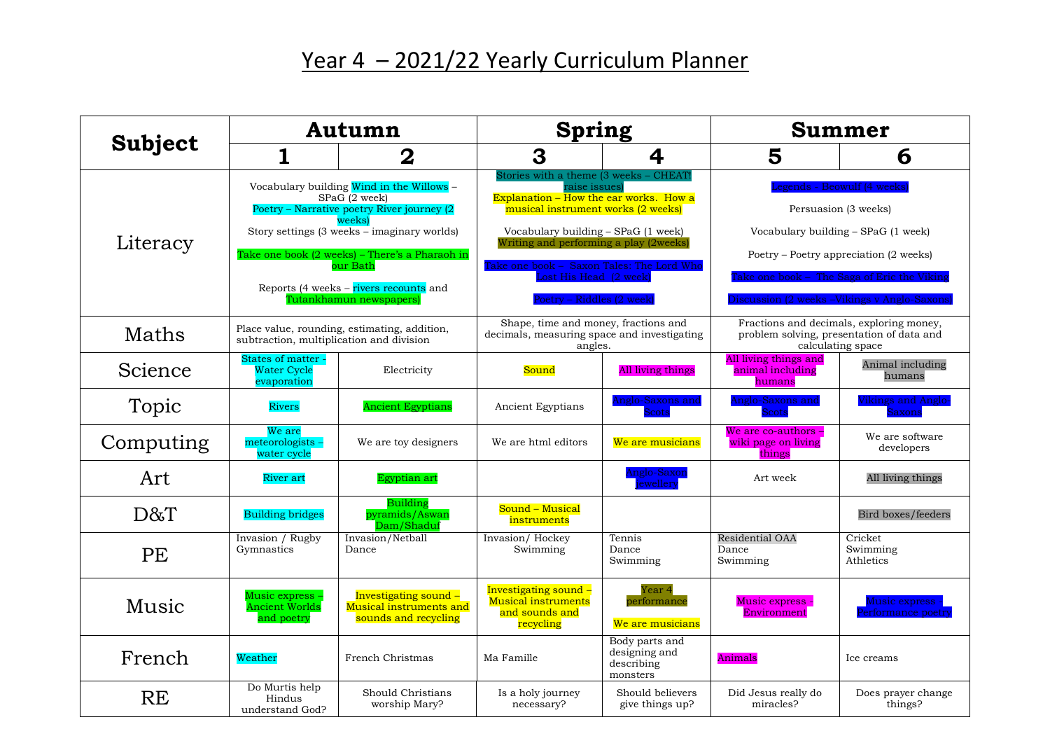## Year 4 - 2021/22 Yearly Curriculum Planner

| Subject   | Autumn                                                                                                                                                                                                                                                                                              |                                                                          | <b>Spring</b>                                                                                                                                                                                                                                                                                                                  |                                                           | <b>Summer</b>                                                                                                                                                                                                                      |                                       |
|-----------|-----------------------------------------------------------------------------------------------------------------------------------------------------------------------------------------------------------------------------------------------------------------------------------------------------|--------------------------------------------------------------------------|--------------------------------------------------------------------------------------------------------------------------------------------------------------------------------------------------------------------------------------------------------------------------------------------------------------------------------|-----------------------------------------------------------|------------------------------------------------------------------------------------------------------------------------------------------------------------------------------------------------------------------------------------|---------------------------------------|
|           | 1                                                                                                                                                                                                                                                                                                   | $\bf{2}$                                                                 | 3                                                                                                                                                                                                                                                                                                                              | 4                                                         | 5                                                                                                                                                                                                                                  | 6                                     |
| Literacy  | Vocabulary building Wind in the Willows -<br>SPaG (2 week)<br>Poetry - Narrative poetry River journey (2<br>weeks<br>Story settings (3 weeks – imaginary worlds)<br>Take one book (2 weeks) – There's a Pharaoh in<br>our Bath<br>Reports (4 weeks – rivers recounts and<br>Tutankhamun newspapers) |                                                                          | Stories with a theme (3 weeks - CHEAT)<br>raise issues)<br>Explanation $-$ How the ear works. How a<br>musical instrument works (2 weeks)<br>Vocabulary building - SPaG (1 week)<br>Writing and performing a play (2weeks)<br>Take one book –  Saxon Tales: The Lord Who<br>ost His Head (2 week)<br>Poetry – Riddles (2 week) |                                                           | egends - Beowulf (4 weeks)<br>Persuasion (3 weeks)<br>Vocabulary building – SPaG (1 week)<br>Poetry – Poetry appreciation (2 weeks)<br>Take one book – The Saga of Eric the Viking<br>) iscussion (2 weeks –Vikings v Anglo-Saxons |                                       |
| Maths     | Place value, rounding, estimating, addition,<br>subtraction, multiplication and division                                                                                                                                                                                                            |                                                                          | Shape, time and money, fractions and<br>decimals, measuring space and investigating<br>angles.                                                                                                                                                                                                                                 |                                                           | Fractions and decimals, exploring money,<br>problem solving, presentation of data and<br>calculating space                                                                                                                         |                                       |
| Science   | States of matter<br><b>Water Cycle</b><br>evaporation                                                                                                                                                                                                                                               | Electricity                                                              | Sound                                                                                                                                                                                                                                                                                                                          | All living things                                         | All living things and<br>animal including<br>humans                                                                                                                                                                                | Animal including<br>humans            |
| Topic     | <b>Rivers</b>                                                                                                                                                                                                                                                                                       | <b>Ancient Egyptians</b>                                                 | Ancient Egyptians                                                                                                                                                                                                                                                                                                              | Anglo-Saxons and<br><b>Scots</b>                          | Anglo-Saxons and<br><b>Scots</b>                                                                                                                                                                                                   | Vikings and Anglo-<br><b>Saxons</b>   |
| Computing | We are<br>meteorologists -<br>water cycle                                                                                                                                                                                                                                                           | We are toy designers                                                     | We are html editors                                                                                                                                                                                                                                                                                                            | We are musicians                                          | We are co-authors<br><u>wiki page on living</u><br>things                                                                                                                                                                          | We are software<br>developers         |
| Art       | <b>River</b> art                                                                                                                                                                                                                                                                                    | Egyptian art                                                             |                                                                                                                                                                                                                                                                                                                                | Anglo-Saxon<br>iewellery                                  | Art week                                                                                                                                                                                                                           | All living things                     |
| D&T       | <b>Building bridges</b>                                                                                                                                                                                                                                                                             | <b>Building</b><br>pyramids/Aswan<br>Dam/Shaduf                          | Sound - Musical<br>instruments                                                                                                                                                                                                                                                                                                 |                                                           |                                                                                                                                                                                                                                    | Bird boxes/feeders                    |
| PE        | Invasion / Rugby<br>Gymnastics                                                                                                                                                                                                                                                                      | Invasion/Netball<br>Dance                                                | Invasion/Hockey<br>Swimming                                                                                                                                                                                                                                                                                                    | Tennis<br>Dance<br>Swimming                               | Residential OAA<br>Dance<br>Swimming                                                                                                                                                                                               | Cricket<br>Swimming<br>Athletics      |
| Music     | Music express -<br><b>Ancient Worlds</b><br>and poetry                                                                                                                                                                                                                                              | Investigating sound -<br>Musical instruments and<br>sounds and recycling | Investigating sound -<br>Musical instruments<br>and sounds and<br>recycling                                                                                                                                                                                                                                                    | Year 4<br>performance<br>We are musicians                 | Music express<br>Environment                                                                                                                                                                                                       | Music express -<br>Performance poetry |
| French    | Weather                                                                                                                                                                                                                                                                                             | French Christmas                                                         | Ma Famille                                                                                                                                                                                                                                                                                                                     | Body parts and<br>designing and<br>describing<br>monsters | Animals                                                                                                                                                                                                                            | Ice creams                            |
| <b>RE</b> | Do Murtis help<br>Hindus<br>understand God?                                                                                                                                                                                                                                                         | Should Christians<br>worship Mary?                                       | Is a holy journey<br>necessary?                                                                                                                                                                                                                                                                                                | Should believers<br>give things up?                       | Did Jesus really do<br>miracles?                                                                                                                                                                                                   | Does prayer change<br>things?         |